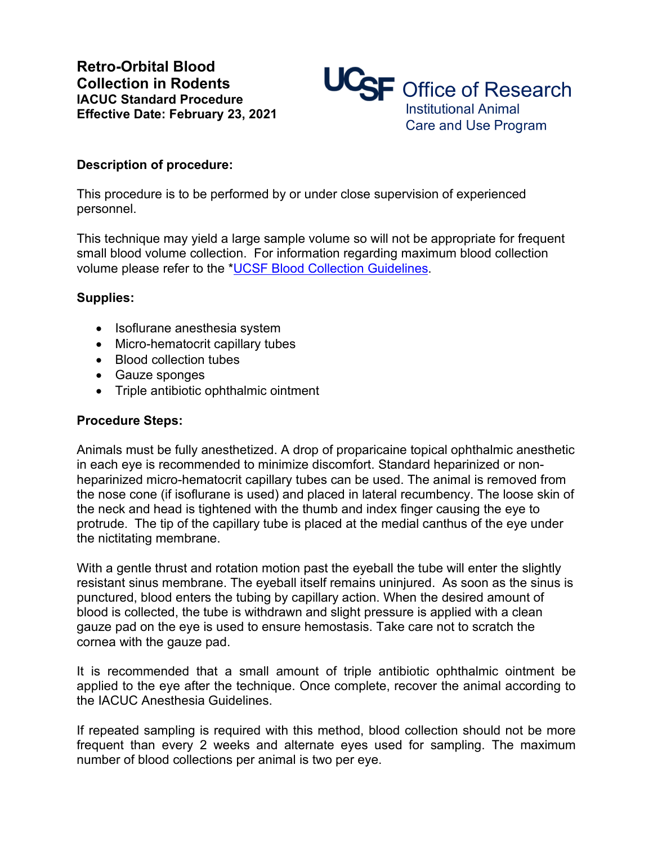

## **Description of procedure:**

This procedure is to be performed by or under close supervision of experienced personnel.

This technique may yield a large sample volume so will not be appropriate for frequent small blood volume collection. For information regarding maximum blood collection volume please refer to the \*UCSF Blood Collection Guidelines.

## **Supplies:**

- Isoflurane anesthesia system
- Micro-hematocrit capillary tubes
- Blood collection tubes
- Gauze sponges
- Triple antibiotic ophthalmic ointment

## **Procedure Steps:**

Animals must be fully anesthetized. A drop of proparicaine topical ophthalmic anesthetic in each eye is recommended to minimize discomfort. Standard heparinized or nonheparinized micro-hematocrit capillary tubes can be used. The animal is removed from the nose cone (if isoflurane is used) and placed in lateral recumbency. The loose skin of the neck and head is tightened with the thumb and index finger causing the eye to protrude. The tip of the capillary tube is placed at the medial canthus of the eye under the nictitating membrane.

With a gentle thrust and rotation motion past the eyeball the tube will enter the slightly resistant sinus membrane. The eyeball itself remains uninjured. As soon as the sinus is punctured, blood enters the tubing by capillary action. When the desired amount of blood is collected, the tube is withdrawn and slight pressure is applied with a clean gauze pad on the eye is used to ensure hemostasis. Take care not to scratch the cornea with the gauze pad.

It is recommended that a small amount of triple antibiotic ophthalmic ointment be applied to the eye after the technique. Once complete, recover the animal according to the IACUC Anesthesia Guidelines.

If repeated sampling is required with this method, blood collection should not be more frequent than every 2 weeks and alternate eyes used for sampling. The maximum number of blood collections per animal is two per eye.